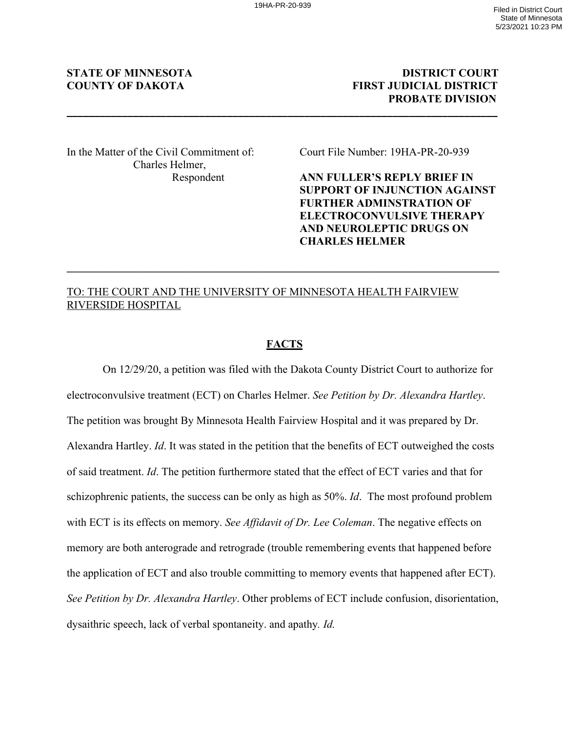**\_\_\_\_\_\_\_\_\_\_\_\_\_\_\_\_\_\_\_\_\_\_\_\_\_\_\_\_\_\_\_\_\_\_\_\_\_\_\_\_\_\_\_\_\_\_\_\_\_\_\_\_\_\_\_\_\_\_\_\_\_\_\_\_\_\_\_\_\_\_\_\_\_\_\_\_\_\_** 

# **STATE OF MINNESOTA** DISTRICT COURT **COUNTY OF DAKOTA FIRST JUDICIAL DISTRICT PROBATE DIVISION**

In the Matter of the Civil Commitment of: Court File Number: 19HA-PR-20-939 Charles Helmer,

Respondent **ANN FULLER'S REPLY BRIEF IN SUPPORT OF INJUNCTION AGAINST FURTHER ADMINSTRATION OF ELECTROCONVULSIVE THERAPY AND NEUROLEPTIC DRUGS ON CHARLES HELMER**

# TO: THE COURT AND THE UNIVERSITY OF MINNESOTA HEALTH FAIRVIEW RIVERSIDE HOSPITAL

### **FACTS**

**\_\_\_\_\_\_\_\_\_\_\_\_\_\_\_\_\_\_\_\_\_\_\_\_\_\_\_\_\_\_\_\_\_\_\_\_\_\_\_\_\_\_\_\_\_\_\_\_\_\_\_\_\_\_\_\_\_\_\_\_\_\_\_\_\_\_\_\_\_\_\_\_\_\_\_\_\_\_**

On 12/29/20, a petition was filed with the Dakota County District Court to authorize for electroconvulsive treatment (ECT) on Charles Helmer. *See Petition by Dr. Alexandra Hartley*. The petition was brought By Minnesota Health Fairview Hospital and it was prepared by Dr. Alexandra Hartley. *Id*. It was stated in the petition that the benefits of ECT outweighed the costs of said treatment. *Id*. The petition furthermore stated that the effect of ECT varies and that for schizophrenic patients, the success can be only as high as 50%. *Id*. The most profound problem with ECT is its effects on memory. *See Affidavit of Dr. Lee Coleman*. The negative effects on memory are both anterograde and retrograde (trouble remembering events that happened before the application of ECT and also trouble committing to memory events that happened after ECT). *See Petition by Dr. Alexandra Hartley*. Other problems of ECT include confusion, disorientation, dysaithric speech, lack of verbal spontaneity. and apathy*. Id.*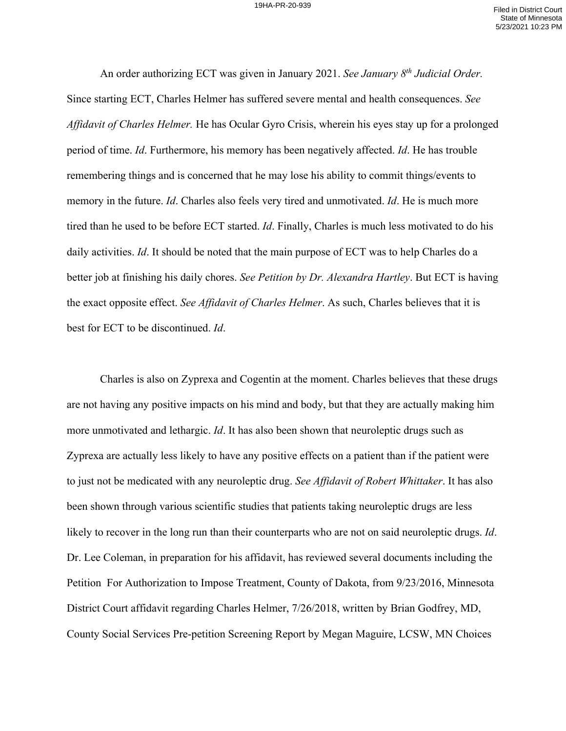An order authorizing ECT was given in January 2021. *See January 8th Judicial Order.* Since starting ECT, Charles Helmer has suffered severe mental and health consequences. *See Affidavit of Charles Helmer.* He has Ocular Gyro Crisis, wherein his eyes stay up for a prolonged period of time. *Id*. Furthermore, his memory has been negatively affected. *Id*. He has trouble remembering things and is concerned that he may lose his ability to commit things/events to memory in the future. *Id*. Charles also feels very tired and unmotivated. *Id*. He is much more tired than he used to be before ECT started. *Id*. Finally, Charles is much less motivated to do his daily activities. *Id*. It should be noted that the main purpose of ECT was to help Charles do a better job at finishing his daily chores. *See Petition by Dr. Alexandra Hartley*. But ECT is having the exact opposite effect. *See Affidavit of Charles Helmer*. As such, Charles believes that it is best for ECT to be discontinued. *Id*.

Charles is also on Zyprexa and Cogentin at the moment. Charles believes that these drugs are not having any positive impacts on his mind and body, but that they are actually making him more unmotivated and lethargic. *Id*. It has also been shown that neuroleptic drugs such as Zyprexa are actually less likely to have any positive effects on a patient than if the patient were to just not be medicated with any neuroleptic drug. *See Affidavit of Robert Whittaker*. It has also been shown through various scientific studies that patients taking neuroleptic drugs are less likely to recover in the long run than their counterparts who are not on said neuroleptic drugs. *Id*. Dr. Lee Coleman, in preparation for his affidavit, has reviewed several documents including the Petition For Authorization to Impose Treatment, County of Dakota, from 9/23/2016, Minnesota District Court affidavit regarding Charles Helmer, 7/26/2018, written by Brian Godfrey, MD, County Social Services Pre-petition Screening Report by Megan Maguire, LCSW, MN Choices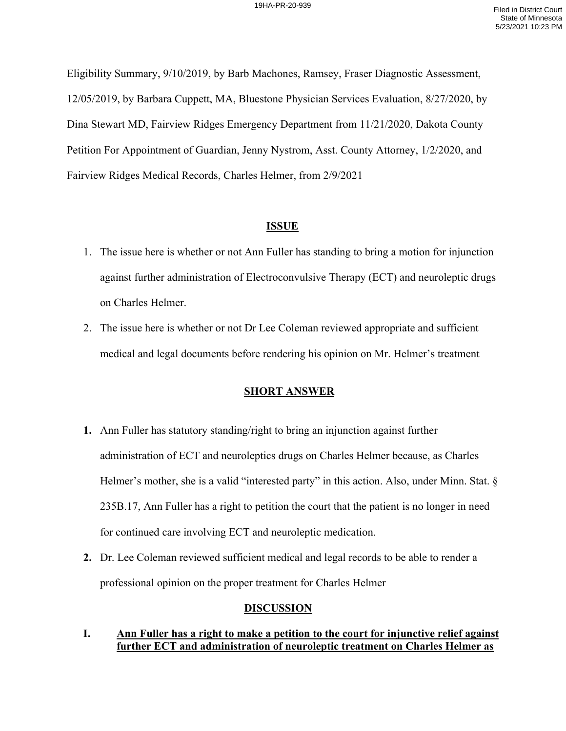Eligibility Summary, 9/10/2019, by Barb Machones, Ramsey, Fraser Diagnostic Assessment, 12/05/2019, by Barbara Cuppett, MA, Bluestone Physician Services Evaluation, 8/27/2020, by Dina Stewart MD, Fairview Ridges Emergency Department from 11/21/2020, Dakota County Petition For Appointment of Guardian, Jenny Nystrom, Asst. County Attorney, 1/2/2020, and Fairview Ridges Medical Records, Charles Helmer, from 2/9/2021

### **ISSUE**

- 1. The issue here is whether or not Ann Fuller has standing to bring a motion for injunction against further administration of Electroconvulsive Therapy (ECT) and neuroleptic drugs on Charles Helmer.
- 2. The issue here is whether or not Dr Lee Coleman reviewed appropriate and sufficient medical and legal documents before rendering his opinion on Mr. Helmer's treatment

# **SHORT ANSWER**

- **1.** Ann Fuller has statutory standing/right to bring an injunction against further administration of ECT and neuroleptics drugs on Charles Helmer because, as Charles Helmer's mother, she is a valid "interested party" in this action. Also, under Minn. Stat. § 235B.17, Ann Fuller has a right to petition the court that the patient is no longer in need for continued care involving ECT and neuroleptic medication.
- **2.** Dr. Lee Coleman reviewed sufficient medical and legal records to be able to render a professional opinion on the proper treatment for Charles Helmer

#### **DISCUSSION**

# **I. Ann Fuller has a right to make a petition to the court for injunctive relief against further ECT and administration of neuroleptic treatment on Charles Helmer as**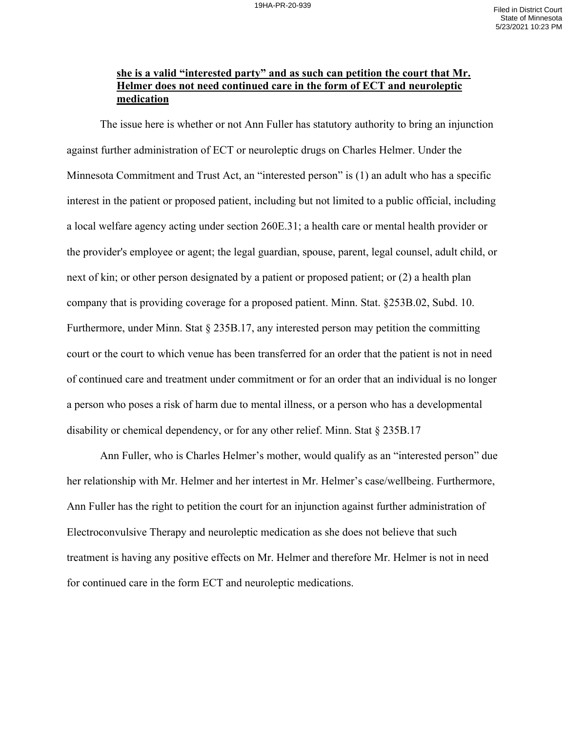# **she is a valid "interested party" and as such can petition the court that Mr. Helmer does not need continued care in the form of ECT and neuroleptic medication**

The issue here is whether or not Ann Fuller has statutory authority to bring an injunction against further administration of ECT or neuroleptic drugs on Charles Helmer. Under the Minnesota Commitment and Trust Act, an "interested person" is (1) an adult who has a specific interest in the patient or proposed patient, including but not limited to a public official, including a local welfare agency acting under section 260E.31; a health care or mental health provider or the provider's employee or agent; the legal guardian, spouse, parent, legal counsel, adult child, or next of kin; or other person designated by a patient or proposed patient; or (2) a health plan company that is providing coverage for a proposed patient. Minn. Stat. §253B.02, Subd. 10. Furthermore, under Minn. Stat § 235B.17, any interested person may petition the committing court or the court to which venue has been transferred for an order that the patient is not in need of continued care and treatment under commitment or for an order that an individual is no longer a person who poses a risk of harm due to mental illness, or a person who has a developmental disability or chemical dependency, or for any other relief. Minn. Stat § 235B.17

Ann Fuller, who is Charles Helmer's mother, would qualify as an "interested person" due her relationship with Mr. Helmer and her intertest in Mr. Helmer's case/wellbeing. Furthermore, Ann Fuller has the right to petition the court for an injunction against further administration of Electroconvulsive Therapy and neuroleptic medication as she does not believe that such treatment is having any positive effects on Mr. Helmer and therefore Mr. Helmer is not in need for continued care in the form ECT and neuroleptic medications.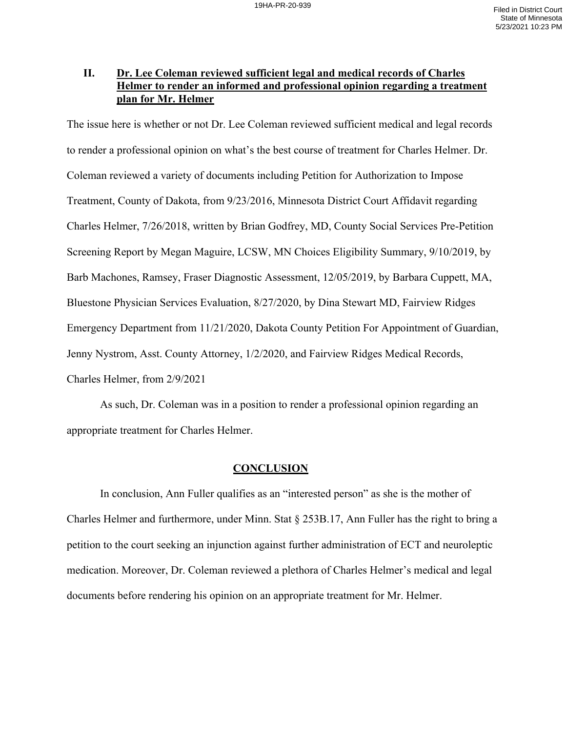# **II. Dr. Lee Coleman reviewed sufficient legal and medical records of Charles Helmer to render an informed and professional opinion regarding a treatment plan for Mr. Helmer**

The issue here is whether or not Dr. Lee Coleman reviewed sufficient medical and legal records to render a professional opinion on what's the best course of treatment for Charles Helmer. Dr. Coleman reviewed a variety of documents including Petition for Authorization to Impose Treatment, County of Dakota, from 9/23/2016, Minnesota District Court Affidavit regarding Charles Helmer, 7/26/2018, written by Brian Godfrey, MD, County Social Services Pre-Petition Screening Report by Megan Maguire, LCSW, MN Choices Eligibility Summary, 9/10/2019, by Barb Machones, Ramsey, Fraser Diagnostic Assessment, 12/05/2019, by Barbara Cuppett, MA, Bluestone Physician Services Evaluation, 8/27/2020, by Dina Stewart MD, Fairview Ridges Emergency Department from 11/21/2020, Dakota County Petition For Appointment of Guardian, Jenny Nystrom, Asst. County Attorney, 1/2/2020, and Fairview Ridges Medical Records, Charles Helmer, from 2/9/2021

As such, Dr. Coleman was in a position to render a professional opinion regarding an appropriate treatment for Charles Helmer.

#### **CONCLUSION**

In conclusion, Ann Fuller qualifies as an "interested person" as she is the mother of Charles Helmer and furthermore, under Minn. Stat § 253B.17, Ann Fuller has the right to bring a petition to the court seeking an injunction against further administration of ECT and neuroleptic medication. Moreover, Dr. Coleman reviewed a plethora of Charles Helmer's medical and legal documents before rendering his opinion on an appropriate treatment for Mr. Helmer.